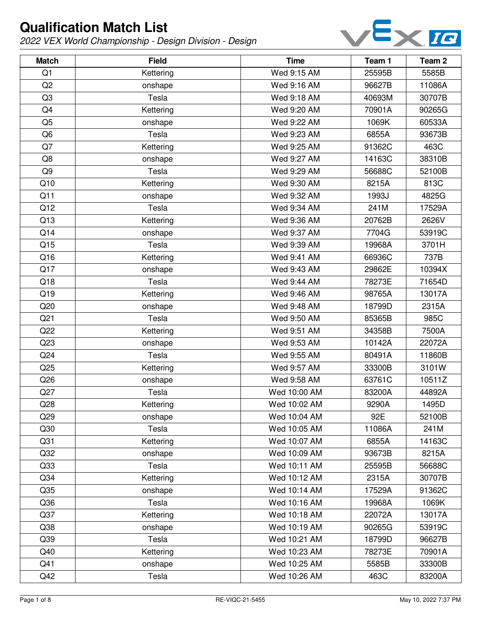

| <b>Match</b>    | <b>Field</b> | <b>Time</b>  | Team 1 | Team 2 |
|-----------------|--------------|--------------|--------|--------|
| Q1              | Kettering    | Wed 9:15 AM  | 25595B | 5585B  |
| Q2              | onshape      | Wed 9:16 AM  | 96627B | 11086A |
| Q <sub>3</sub>  | Tesla        | Wed 9:18 AM  | 40693M | 30707B |
| Q4              | Kettering    | Wed 9:20 AM  | 70901A | 90265G |
| Q <sub>5</sub>  | onshape      | Wed 9:22 AM  | 1069K  | 60533A |
| Q <sub>6</sub>  | Tesla        | Wed 9:23 AM  | 6855A  | 93673B |
| Q7              | Kettering    | Wed 9:25 AM  | 91362C | 463C   |
| Q8              | onshape      | Wed 9:27 AM  | 14163C | 38310B |
| Q9              | Tesla        | Wed 9:29 AM  | 56688C | 52100B |
| Q10             | Kettering    | Wed 9:30 AM  | 8215A  | 813C   |
| Q11             | onshape      | Wed 9:32 AM  | 1993J  | 4825G  |
| Q12             | Tesla        | Wed 9:34 AM  | 241M   | 17529A |
| Q13             | Kettering    | Wed 9:36 AM  | 20762B | 2626V  |
| Q14             | onshape      | Wed 9:37 AM  | 7704G  | 53919C |
| Q15             | Tesla        | Wed 9:39 AM  | 19968A | 3701H  |
| Q16             | Kettering    | Wed 9:41 AM  | 66936C | 737B   |
| Q17             | onshape      | Wed 9:43 AM  | 29862E | 10394X |
| Q18             | Tesla        | Wed 9:44 AM  | 78273E | 71654D |
| Q19             | Kettering    | Wed 9:46 AM  | 98765A | 13017A |
| Q20             | onshape      | Wed 9:48 AM  | 18799D | 2315A  |
| Q <sub>21</sub> | Tesla        | Wed 9:50 AM  | 85365B | 985C   |
| Q22             | Kettering    | Wed 9:51 AM  | 34358B | 7500A  |
| Q23             | onshape      | Wed 9:53 AM  | 10142A | 22072A |
| Q <sub>24</sub> | Tesla        | Wed 9:55 AM  | 80491A | 11860B |
| Q25             | Kettering    | Wed 9:57 AM  | 33300B | 3101W  |
| Q26             | onshape      | Wed 9:58 AM  | 63761C | 10511Z |
| Q27             | Tesla        | Wed 10:00 AM | 83200A | 44892A |
| Q28             | Kettering    | Wed 10:02 AM | 9290A  | 1495D  |
| Q29             | onshape      | Wed 10:04 AM | 92E    | 52100B |
| Q30             | Tesla        | Wed 10:05 AM | 11086A | 241M   |
| Q <sub>31</sub> | Kettering    | Wed 10:07 AM | 6855A  | 14163C |
| Q <sub>32</sub> | onshape      | Wed 10:09 AM | 93673B | 8215A  |
| Q <sub>33</sub> | Tesla        | Wed 10:11 AM | 25595B | 56688C |
| Q <sub>34</sub> | Kettering    | Wed 10:12 AM | 2315A  | 30707B |
| Q35             | onshape      | Wed 10:14 AM | 17529A | 91362C |
| Q36             | Tesla        | Wed 10:16 AM | 19968A | 1069K  |
| Q37             | Kettering    | Wed 10:18 AM | 22072A | 13017A |
| Q <sub>38</sub> | onshape      | Wed 10:19 AM | 90265G | 53919C |
| Q39             | Tesla        | Wed 10:21 AM | 18799D | 96627B |
| Q40             | Kettering    | Wed 10:23 AM | 78273E | 70901A |
| Q41             | onshape      | Wed 10:25 AM | 5585B  | 33300B |
| Q42             | Tesla        | Wed 10:26 AM | 463C   | 83200A |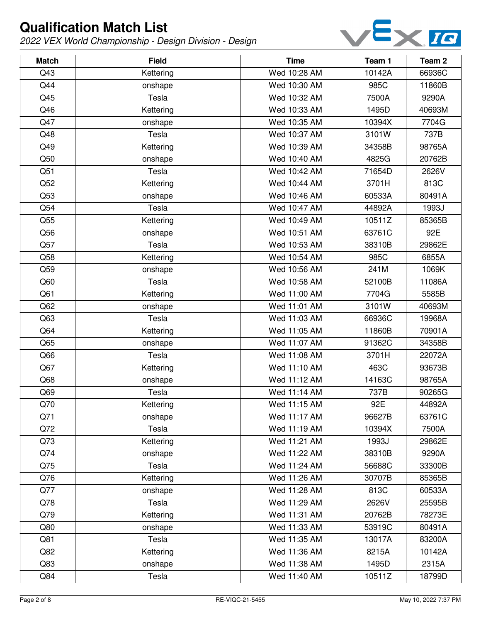

| <b>Match</b>    | <b>Field</b> | <b>Time</b>  | Team 1 | Team <sub>2</sub> |
|-----------------|--------------|--------------|--------|-------------------|
| Q43             | Kettering    | Wed 10:28 AM | 10142A | 66936C            |
| Q44             | onshape      | Wed 10:30 AM | 985C   | 11860B            |
| Q45             | Tesla        | Wed 10:32 AM | 7500A  | 9290A             |
| Q46             | Kettering    | Wed 10:33 AM | 1495D  | 40693M            |
| Q47             | onshape      | Wed 10:35 AM | 10394X | 7704G             |
| Q48             | Tesla        | Wed 10:37 AM | 3101W  | 737B              |
| Q49             | Kettering    | Wed 10:39 AM | 34358B | 98765A            |
| Q50             | onshape      | Wed 10:40 AM | 4825G  | 20762B            |
| Q51             | Tesla        | Wed 10:42 AM | 71654D | 2626V             |
| Q52             | Kettering    | Wed 10:44 AM | 3701H  | 813C              |
| Q53             | onshape      | Wed 10:46 AM | 60533A | 80491A            |
| Q54             | Tesla        | Wed 10:47 AM | 44892A | 1993J             |
| Q55             | Kettering    | Wed 10:49 AM | 10511Z | 85365B            |
| Q56             | onshape      | Wed 10:51 AM | 63761C | 92E               |
| Q57             | Tesla        | Wed 10:53 AM | 38310B | 29862E            |
| Q58             | Kettering    | Wed 10:54 AM | 985C   | 6855A             |
| Q59             | onshape      | Wed 10:56 AM | 241M   | 1069K             |
| Q60             | Tesla        | Wed 10:58 AM | 52100B | 11086A            |
| Q <sub>61</sub> | Kettering    | Wed 11:00 AM | 7704G  | 5585B             |
| Q62             | onshape      | Wed 11:01 AM | 3101W  | 40693M            |
| Q63             | Tesla        | Wed 11:03 AM | 66936C | 19968A            |
| Q64             | Kettering    | Wed 11:05 AM | 11860B | 70901A            |
| Q65             | onshape      | Wed 11:07 AM | 91362C | 34358B            |
| Q66             | Tesla        | Wed 11:08 AM | 3701H  | 22072A            |
| Q67             | Kettering    | Wed 11:10 AM | 463C   | 93673B            |
| Q68             | onshape      | Wed 11:12 AM | 14163C | 98765A            |
| Q69             | Tesla        | Wed 11:14 AM | 737B   | 90265G            |
| Q70             | Kettering    | Wed 11:15 AM | 92E    | 44892A            |
| Q71             | onshape      | Wed 11:17 AM | 96627B | 63761C            |
| Q72             | Tesla        | Wed 11:19 AM | 10394X | 7500A             |
| Q73             | Kettering    | Wed 11:21 AM | 1993J  | 29862E            |
| Q74             | onshape      | Wed 11:22 AM | 38310B | 9290A             |
| Q75             | Tesla        | Wed 11:24 AM | 56688C | 33300B            |
| Q76             | Kettering    | Wed 11:26 AM | 30707B | 85365B            |
| Q77             | onshape      | Wed 11:28 AM | 813C   | 60533A            |
| Q78             | Tesla        | Wed 11:29 AM | 2626V  | 25595B            |
| Q79             | Kettering    | Wed 11:31 AM | 20762B | 78273E            |
| Q80             | onshape      | Wed 11:33 AM | 53919C | 80491A            |
| Q81             | Tesla        | Wed 11:35 AM | 13017A | 83200A            |
| Q82             | Kettering    | Wed 11:36 AM | 8215A  | 10142A            |
| Q83             | onshape      | Wed 11:38 AM | 1495D  | 2315A             |
| Q84             | Tesla        | Wed 11:40 AM | 10511Z | 18799D            |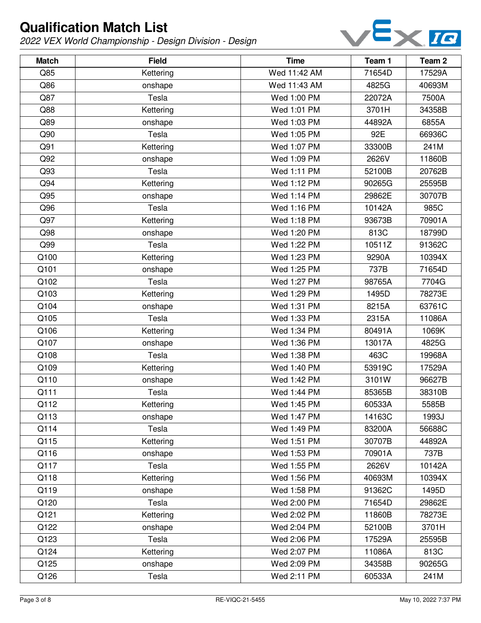

| <b>Match</b> | <b>Field</b> | <b>Time</b>  | Team 1 | Team <sub>2</sub> |
|--------------|--------------|--------------|--------|-------------------|
| Q85          | Kettering    | Wed 11:42 AM | 71654D | 17529A            |
| Q86          | onshape      | Wed 11:43 AM | 4825G  | 40693M            |
| Q87          | Tesla        | Wed 1:00 PM  | 22072A | 7500A             |
| Q88          | Kettering    | Wed 1:01 PM  | 3701H  | 34358B            |
| Q89          | onshape      | Wed 1:03 PM  | 44892A | 6855A             |
| Q90          | Tesla        | Wed 1:05 PM  | 92E    | 66936C            |
| Q91          | Kettering    | Wed 1:07 PM  | 33300B | 241M              |
| Q92          | onshape      | Wed 1:09 PM  | 2626V  | 11860B            |
| Q93          | Tesla        | Wed 1:11 PM  | 52100B | 20762B            |
| Q94          | Kettering    | Wed 1:12 PM  | 90265G | 25595B            |
| Q95          | onshape      | Wed 1:14 PM  | 29862E | 30707B            |
| Q96          | Tesla        | Wed 1:16 PM  | 10142A | 985C              |
| Q97          | Kettering    | Wed 1:18 PM  | 93673B | 70901A            |
| Q98          | onshape      | Wed 1:20 PM  | 813C   | 18799D            |
| Q99          | Tesla        | Wed 1:22 PM  | 10511Z | 91362C            |
| Q100         | Kettering    | Wed 1:23 PM  | 9290A  | 10394X            |
| Q101         | onshape      | Wed 1:25 PM  | 737B   | 71654D            |
| Q102         | Tesla        | Wed 1:27 PM  | 98765A | 7704G             |
| Q103         | Kettering    | Wed 1:29 PM  | 1495D  | 78273E            |
| Q104         | onshape      | Wed 1:31 PM  | 8215A  | 63761C            |
| Q105         | Tesla        | Wed 1:33 PM  | 2315A  | 11086A            |
| Q106         | Kettering    | Wed 1:34 PM  | 80491A | 1069K             |
| Q107         | onshape      | Wed 1:36 PM  | 13017A | 4825G             |
| Q108         | Tesla        | Wed 1:38 PM  | 463C   | 19968A            |
| Q109         | Kettering    | Wed 1:40 PM  | 53919C | 17529A            |
| Q110         | onshape      | Wed 1:42 PM  | 3101W  | 96627B            |
| Q111         | Tesla        | Wed 1:44 PM  | 85365B | 38310B            |
| Q112         | Kettering    | Wed 1:45 PM  | 60533A | 5585B             |
| Q113         | onshape      | Wed 1:47 PM  | 14163C | 1993J             |
| Q114         | Tesla        | Wed 1:49 PM  | 83200A | 56688C            |
| Q115         | Kettering    | Wed 1:51 PM  | 30707B | 44892A            |
| Q116         | onshape      | Wed 1:53 PM  | 70901A | 737B              |
| Q117         | Tesla        | Wed 1:55 PM  | 2626V  | 10142A            |
| Q118         | Kettering    | Wed 1:56 PM  | 40693M | 10394X            |
| Q119         | onshape      | Wed 1:58 PM  | 91362C | 1495D             |
| Q120         | Tesla        | Wed 2:00 PM  | 71654D | 29862E            |
| Q121         | Kettering    | Wed 2:02 PM  | 11860B | 78273E            |
| Q122         | onshape      | Wed 2:04 PM  | 52100B | 3701H             |
| Q123         | Tesla        | Wed 2:06 PM  | 17529A | 25595B            |
| Q124         | Kettering    | Wed 2:07 PM  | 11086A | 813C              |
| Q125         | onshape      | Wed 2:09 PM  | 34358B | 90265G            |
| Q126         | Tesla        | Wed 2:11 PM  | 60533A | 241M              |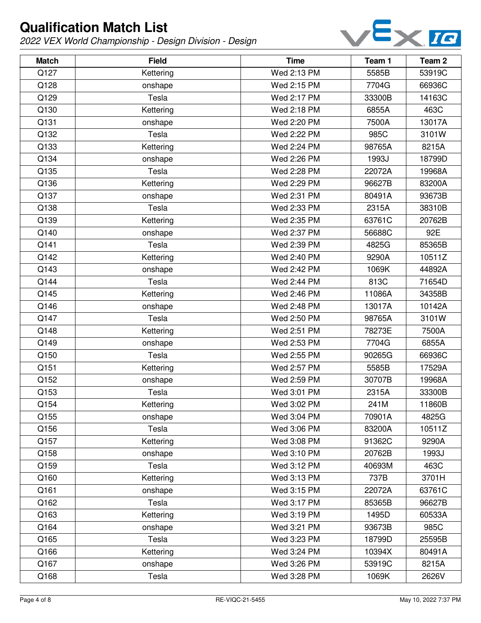

| <b>Match</b> | <b>Field</b> | <b>Time</b> | Team 1 | Team <sub>2</sub> |
|--------------|--------------|-------------|--------|-------------------|
| Q127         | Kettering    | Wed 2:13 PM | 5585B  | 53919C            |
| Q128         | onshape      | Wed 2:15 PM | 7704G  | 66936C            |
| Q129         | Tesla        | Wed 2:17 PM | 33300B | 14163C            |
| Q130         | Kettering    | Wed 2:18 PM | 6855A  | 463C              |
| Q131         | onshape      | Wed 2:20 PM | 7500A  | 13017A            |
| Q132         | Tesla        | Wed 2:22 PM | 985C   | 3101W             |
| Q133         | Kettering    | Wed 2:24 PM | 98765A | 8215A             |
| Q134         | onshape      | Wed 2:26 PM | 1993J  | 18799D            |
| Q135         | Tesla        | Wed 2:28 PM | 22072A | 19968A            |
| Q136         | Kettering    | Wed 2:29 PM | 96627B | 83200A            |
| Q137         | onshape      | Wed 2:31 PM | 80491A | 93673B            |
| Q138         | Tesla        | Wed 2:33 PM | 2315A  | 38310B            |
| Q139         | Kettering    | Wed 2:35 PM | 63761C | 20762B            |
| Q140         | onshape      | Wed 2:37 PM | 56688C | 92E               |
| Q141         | Tesla        | Wed 2:39 PM | 4825G  | 85365B            |
| Q142         | Kettering    | Wed 2:40 PM | 9290A  | 10511Z            |
| Q143         | onshape      | Wed 2:42 PM | 1069K  | 44892A            |
| Q144         | Tesla        | Wed 2:44 PM | 813C   | 71654D            |
| Q145         | Kettering    | Wed 2:46 PM | 11086A | 34358B            |
| Q146         | onshape      | Wed 2:48 PM | 13017A | 10142A            |
| Q147         | Tesla        | Wed 2:50 PM | 98765A | 3101W             |
| Q148         | Kettering    | Wed 2:51 PM | 78273E | 7500A             |
| Q149         | onshape      | Wed 2:53 PM | 7704G  | 6855A             |
| Q150         | Tesla        | Wed 2:55 PM | 90265G | 66936C            |
| Q151         | Kettering    | Wed 2:57 PM | 5585B  | 17529A            |
| Q152         | onshape      | Wed 2:59 PM | 30707B | 19968A            |
| Q153         | Tesla        | Wed 3:01 PM | 2315A  | 33300B            |
| Q154         | Kettering    | Wed 3:02 PM | 241M   | 11860B            |
| Q155         | onshape      | Wed 3:04 PM | 70901A | 4825G             |
| Q156         | Tesla        | Wed 3:06 PM | 83200A | 10511Z            |
| Q157         | Kettering    | Wed 3:08 PM | 91362C | 9290A             |
| Q158         | onshape      | Wed 3:10 PM | 20762B | 1993J             |
| Q159         | Tesla        | Wed 3:12 PM | 40693M | 463C              |
| Q160         | Kettering    | Wed 3:13 PM | 737B   | 3701H             |
| Q161         | onshape      | Wed 3:15 PM | 22072A | 63761C            |
| Q162         | Tesla        | Wed 3:17 PM | 85365B | 96627B            |
| Q163         | Kettering    | Wed 3:19 PM | 1495D  | 60533A            |
| Q164         | onshape      | Wed 3:21 PM | 93673B | 985C              |
| Q165         | Tesla        | Wed 3:23 PM | 18799D | 25595B            |
| Q166         | Kettering    | Wed 3:24 PM | 10394X | 80491A            |
| Q167         | onshape      | Wed 3:26 PM | 53919C | 8215A             |
| Q168         | Tesla        | Wed 3:28 PM | 1069K  | 2626V             |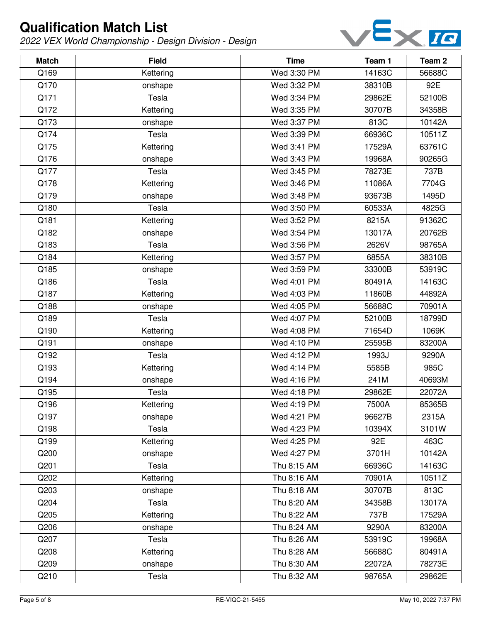

| <b>Match</b> | <b>Field</b> | <b>Time</b> | Team 1 | Team <sub>2</sub> |
|--------------|--------------|-------------|--------|-------------------|
| Q169         | Kettering    | Wed 3:30 PM | 14163C | 56688C            |
| Q170         | onshape      | Wed 3:32 PM | 38310B | 92E               |
| Q171         | Tesla        | Wed 3:34 PM | 29862E | 52100B            |
| Q172         | Kettering    | Wed 3:35 PM | 30707B | 34358B            |
| Q173         | onshape      | Wed 3:37 PM | 813C   | 10142A            |
| Q174         | Tesla        | Wed 3:39 PM | 66936C | 10511Z            |
| Q175         | Kettering    | Wed 3:41 PM | 17529A | 63761C            |
| Q176         | onshape      | Wed 3:43 PM | 19968A | 90265G            |
| Q177         | Tesla        | Wed 3:45 PM | 78273E | 737B              |
| Q178         | Kettering    | Wed 3:46 PM | 11086A | 7704G             |
| Q179         | onshape      | Wed 3:48 PM | 93673B | 1495D             |
| Q180         | Tesla        | Wed 3:50 PM | 60533A | 4825G             |
| Q181         | Kettering    | Wed 3:52 PM | 8215A  | 91362C            |
| Q182         | onshape      | Wed 3:54 PM | 13017A | 20762B            |
| Q183         | Tesla        | Wed 3:56 PM | 2626V  | 98765A            |
| Q184         | Kettering    | Wed 3:57 PM | 6855A  | 38310B            |
| Q185         | onshape      | Wed 3:59 PM | 33300B | 53919C            |
| Q186         | Tesla        | Wed 4:01 PM | 80491A | 14163C            |
| Q187         | Kettering    | Wed 4:03 PM | 11860B | 44892A            |
| Q188         | onshape      | Wed 4:05 PM | 56688C | 70901A            |
| Q189         | Tesla        | Wed 4:07 PM | 52100B | 18799D            |
| Q190         | Kettering    | Wed 4:08 PM | 71654D | 1069K             |
| Q191         | onshape      | Wed 4:10 PM | 25595B | 83200A            |
| Q192         | Tesla        | Wed 4:12 PM | 1993J  | 9290A             |
| Q193         | Kettering    | Wed 4:14 PM | 5585B  | 985C              |
| Q194         | onshape      | Wed 4:16 PM | 241M   | 40693M            |
| Q195         | Tesla        | Wed 4:18 PM | 29862E | 22072A            |
| Q196         | Kettering    | Wed 4:19 PM | 7500A  | 85365B            |
| Q197         | onshape      | Wed 4:21 PM | 96627B | 2315A             |
| Q198         | Tesla        | Wed 4:23 PM | 10394X | 3101W             |
| Q199         | Kettering    | Wed 4:25 PM | 92E    | 463C              |
| Q200         | onshape      | Wed 4:27 PM | 3701H  | 10142A            |
| Q201         | Tesla        | Thu 8:15 AM | 66936C | 14163C            |
| Q202         | Kettering    | Thu 8:16 AM | 70901A | 10511Z            |
| Q203         | onshape      | Thu 8:18 AM | 30707B | 813C              |
| Q204         | Tesla        | Thu 8:20 AM | 34358B | 13017A            |
| Q205         | Kettering    | Thu 8:22 AM | 737B   | 17529A            |
| Q206         | onshape      | Thu 8:24 AM | 9290A  | 83200A            |
| Q207         | Tesla        | Thu 8:26 AM | 53919C | 19968A            |
| Q208         | Kettering    | Thu 8:28 AM | 56688C | 80491A            |
| Q209         | onshape      | Thu 8:30 AM | 22072A | 78273E            |
| Q210         | Tesla        | Thu 8:32 AM | 98765A | 29862E            |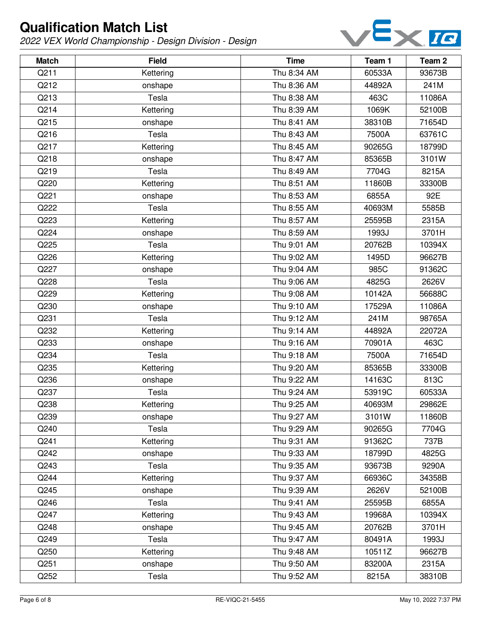

| <b>Match</b> | <b>Field</b> | <b>Time</b> | Team 1 | Team 2 |
|--------------|--------------|-------------|--------|--------|
| Q211         | Kettering    | Thu 8:34 AM | 60533A | 93673B |
| Q212         | onshape      | Thu 8:36 AM | 44892A | 241M   |
| Q213         | Tesla        | Thu 8:38 AM | 463C   | 11086A |
| Q214         | Kettering    | Thu 8:39 AM | 1069K  | 52100B |
| Q215         | onshape      | Thu 8:41 AM | 38310B | 71654D |
| Q216         | Tesla        | Thu 8:43 AM | 7500A  | 63761C |
| Q217         | Kettering    | Thu 8:45 AM | 90265G | 18799D |
| Q218         | onshape      | Thu 8:47 AM | 85365B | 3101W  |
| Q219         | Tesla        | Thu 8:49 AM | 7704G  | 8215A  |
| Q220         | Kettering    | Thu 8:51 AM | 11860B | 33300B |
| Q221         | onshape      | Thu 8:53 AM | 6855A  | 92E    |
| Q222         | Tesla        | Thu 8:55 AM | 40693M | 5585B  |
| Q223         | Kettering    | Thu 8:57 AM | 25595B | 2315A  |
| Q224         | onshape      | Thu 8:59 AM | 1993J  | 3701H  |
| Q225         | Tesla        | Thu 9:01 AM | 20762B | 10394X |
| Q226         | Kettering    | Thu 9:02 AM | 1495D  | 96627B |
| Q227         | onshape      | Thu 9:04 AM | 985C   | 91362C |
| Q228         | Tesla        | Thu 9:06 AM | 4825G  | 2626V  |
| Q229         | Kettering    | Thu 9:08 AM | 10142A | 56688C |
| Q230         | onshape      | Thu 9:10 AM | 17529A | 11086A |
| Q231         | Tesla        | Thu 9:12 AM | 241M   | 98765A |
| Q232         | Kettering    | Thu 9:14 AM | 44892A | 22072A |
| Q233         | onshape      | Thu 9:16 AM | 70901A | 463C   |
| Q234         | Tesla        | Thu 9:18 AM | 7500A  | 71654D |
| Q235         | Kettering    | Thu 9:20 AM | 85365B | 33300B |
| Q236         | onshape      | Thu 9:22 AM | 14163C | 813C   |
| Q237         | Tesla        | Thu 9:24 AM | 53919C | 60533A |
| Q238         | Kettering    | Thu 9:25 AM | 40693M | 29862E |
| Q239         | onshape      | Thu 9:27 AM | 3101W  | 11860B |
| Q240         | Tesla        | Thu 9:29 AM | 90265G | 7704G  |
| Q241         | Kettering    | Thu 9:31 AM | 91362C | 737B   |
| Q242         | onshape      | Thu 9:33 AM | 18799D | 4825G  |
| Q243         | Tesla        | Thu 9:35 AM | 93673B | 9290A  |
| Q244         | Kettering    | Thu 9:37 AM | 66936C | 34358B |
| Q245         | onshape      | Thu 9:39 AM | 2626V  | 52100B |
| Q246         | Tesla        | Thu 9:41 AM | 25595B | 6855A  |
| Q247         | Kettering    | Thu 9:43 AM | 19968A | 10394X |
| Q248         | onshape      | Thu 9:45 AM | 20762B | 3701H  |
| Q249         | Tesla        | Thu 9:47 AM | 80491A | 1993J  |
| Q250         | Kettering    | Thu 9:48 AM | 10511Z | 96627B |
| Q251         | onshape      | Thu 9:50 AM | 83200A | 2315A  |
| Q252         | Tesla        | Thu 9:52 AM | 8215A  | 38310B |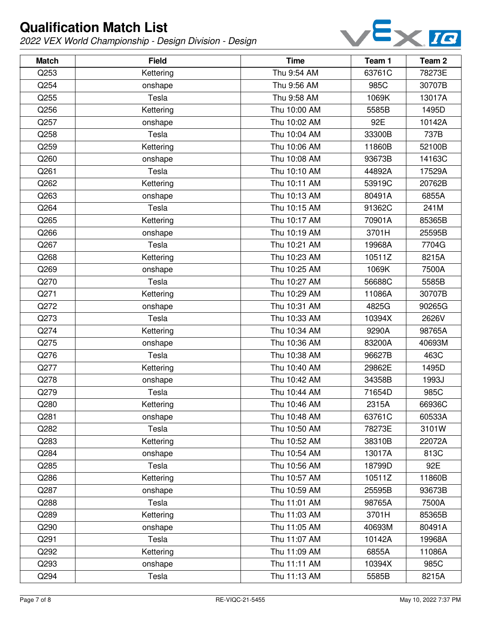

| <b>Match</b> | <b>Field</b> | <b>Time</b>  | Team 1 | Team 2 |
|--------------|--------------|--------------|--------|--------|
| Q253         | Kettering    | Thu 9:54 AM  | 63761C | 78273E |
| Q254         | onshape      | Thu 9:56 AM  | 985C   | 30707B |
| Q255         | Tesla        | Thu 9:58 AM  | 1069K  | 13017A |
| Q256         | Kettering    | Thu 10:00 AM | 5585B  | 1495D  |
| Q257         | onshape      | Thu 10:02 AM | 92E    | 10142A |
| Q258         | Tesla        | Thu 10:04 AM | 33300B | 737B   |
| Q259         | Kettering    | Thu 10:06 AM | 11860B | 52100B |
| Q260         | onshape      | Thu 10:08 AM | 93673B | 14163C |
| Q261         | Tesla        | Thu 10:10 AM | 44892A | 17529A |
| Q262         | Kettering    | Thu 10:11 AM | 53919C | 20762B |
| Q263         | onshape      | Thu 10:13 AM | 80491A | 6855A  |
| Q264         | Tesla        | Thu 10:15 AM | 91362C | 241M   |
| Q265         | Kettering    | Thu 10:17 AM | 70901A | 85365B |
| Q266         | onshape      | Thu 10:19 AM | 3701H  | 25595B |
| Q267         | Tesla        | Thu 10:21 AM | 19968A | 7704G  |
| Q268         | Kettering    | Thu 10:23 AM | 10511Z | 8215A  |
| Q269         | onshape      | Thu 10:25 AM | 1069K  | 7500A  |
| Q270         | Tesla        | Thu 10:27 AM | 56688C | 5585B  |
| Q271         | Kettering    | Thu 10:29 AM | 11086A | 30707B |
| Q272         | onshape      | Thu 10:31 AM | 4825G  | 90265G |
| Q273         | Tesla        | Thu 10:33 AM | 10394X | 2626V  |
| Q274         | Kettering    | Thu 10:34 AM | 9290A  | 98765A |
| Q275         | onshape      | Thu 10:36 AM | 83200A | 40693M |
| Q276         | Tesla        | Thu 10:38 AM | 96627B | 463C   |
| Q277         | Kettering    | Thu 10:40 AM | 29862E | 1495D  |
| Q278         | onshape      | Thu 10:42 AM | 34358B | 1993J  |
| Q279         | Tesla        | Thu 10:44 AM | 71654D | 985C   |
| Q280         | Kettering    | Thu 10:46 AM | 2315A  | 66936C |
| Q281         | onshape      | Thu 10:48 AM | 63761C | 60533A |
| Q282         | Tesla        | Thu 10:50 AM | 78273E | 3101W  |
| Q283         | Kettering    | Thu 10:52 AM | 38310B | 22072A |
| Q284         | onshape      | Thu 10:54 AM | 13017A | 813C   |
| Q285         | Tesla        | Thu 10:56 AM | 18799D | 92E    |
| Q286         | Kettering    | Thu 10:57 AM | 10511Z | 11860B |
| Q287         | onshape      | Thu 10:59 AM | 25595B | 93673B |
| Q288         | Tesla        | Thu 11:01 AM | 98765A | 7500A  |
| Q289         | Kettering    | Thu 11:03 AM | 3701H  | 85365B |
| Q290         | onshape      | Thu 11:05 AM | 40693M | 80491A |
| Q291         | Tesla        | Thu 11:07 AM | 10142A | 19968A |
| Q292         | Kettering    | Thu 11:09 AM | 6855A  | 11086A |
| Q293         | onshape      | Thu 11:11 AM | 10394X | 985C   |
| Q294         | Tesla        | Thu 11:13 AM | 5585B  | 8215A  |